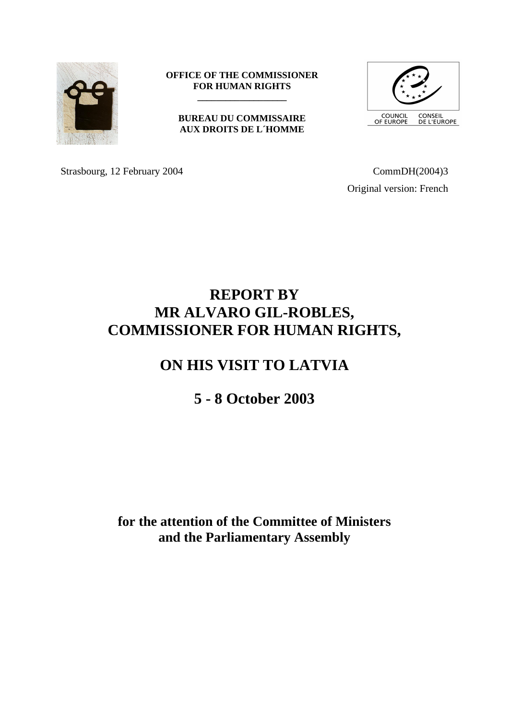

#### **OFFICE OF THE COMMISSIONER FOR HUMAN RIGHTS \_\_\_\_\_\_\_\_\_\_\_\_\_\_\_\_\_\_\_**

# **BUREAU DU COMMISSAIRE AUX DROITS DE L´HOMME**



Strasbourg, 12 February 2004 CommDH(2004)3

Original version: French

# **REPORT BY MR ALVARO GIL-ROBLES, COMMISSIONER FOR HUMAN RIGHTS,**

# **ON HIS VISIT TO LATVIA**

# **5 - 8 October 2003**

# **for the attention of the Committee of Ministers and the Parliamentary Assembly**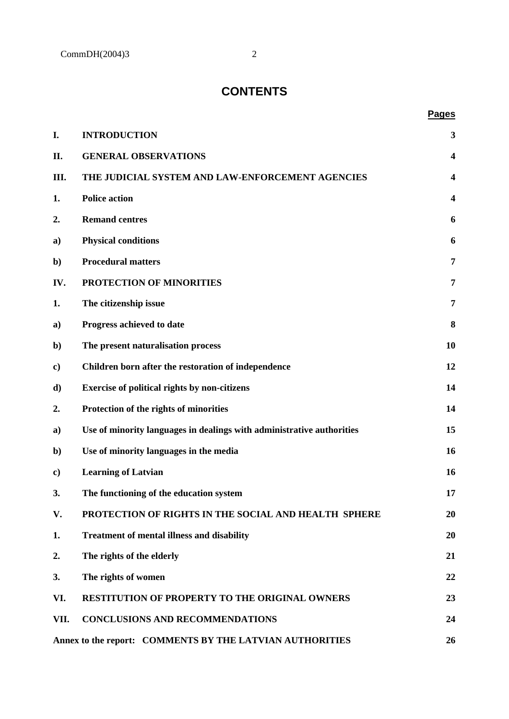# **CONTENTS**

# **Pages**

| I.                                                       | <b>INTRODUCTION</b>                                                   | 3                       |
|----------------------------------------------------------|-----------------------------------------------------------------------|-------------------------|
| П.                                                       | <b>GENERAL OBSERVATIONS</b>                                           | $\overline{\mathbf{4}}$ |
| III.                                                     | THE JUDICIAL SYSTEM AND LAW-ENFORCEMENT AGENCIES                      | $\overline{\mathbf{4}}$ |
| 1.                                                       | <b>Police action</b>                                                  | $\overline{\mathbf{4}}$ |
| 2.                                                       | <b>Remand centres</b>                                                 | 6                       |
| a)                                                       | <b>Physical conditions</b>                                            | 6                       |
| $\mathbf{b}$                                             | <b>Procedural matters</b>                                             | 7                       |
| IV.                                                      | PROTECTION OF MINORITIES                                              | 7                       |
| 1.                                                       | The citizenship issue                                                 | 7                       |
| a)                                                       | Progress achieved to date                                             | 8                       |
| $\mathbf{b}$                                             | The present naturalisation process                                    | 10                      |
| $\bf c)$                                                 | Children born after the restoration of independence                   | 12                      |
| d)                                                       | <b>Exercise of political rights by non-citizens</b>                   | 14                      |
| 2.                                                       | Protection of the rights of minorities                                | 14                      |
| a)                                                       | Use of minority languages in dealings with administrative authorities | 15                      |
| $\mathbf{b}$                                             | Use of minority languages in the media                                | 16                      |
| $\bf c)$                                                 | <b>Learning of Latvian</b>                                            | 16                      |
| 3.                                                       | The functioning of the education system                               | 17                      |
| V.                                                       | PROTECTION OF RIGHTS IN THE SOCIAL AND HEALTH SPHERE                  | 20                      |
| 1.                                                       | <b>Treatment of mental illness and disability</b>                     | 20                      |
| 2.                                                       | The rights of the elderly                                             | 21                      |
| 3.                                                       | The rights of women                                                   | 22                      |
| VI.                                                      | <b>RESTITUTION OF PROPERTY TO THE ORIGINAL OWNERS</b>                 | 23                      |
| VII.                                                     | <b>CONCLUSIONS AND RECOMMENDATIONS</b>                                | 24                      |
| Annex to the report: COMMENTS BY THE LATVIAN AUTHORITIES |                                                                       | 26                      |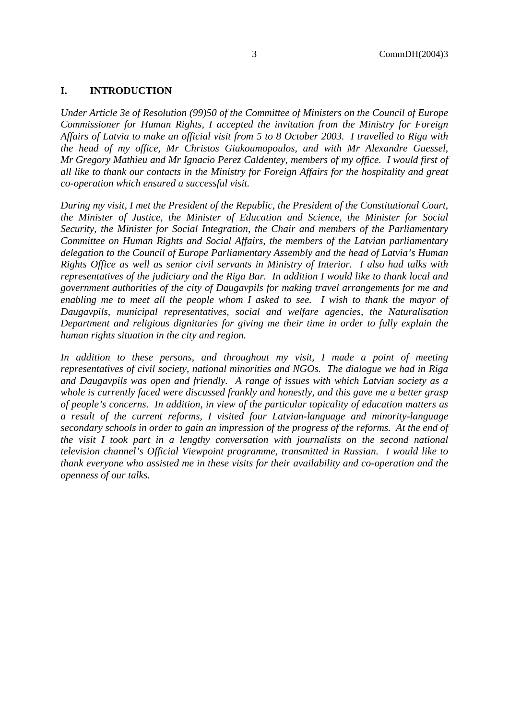# **I. INTRODUCTION**

*Under Article 3e of Resolution (99)50 of the Committee of Ministers on the Council of Europe Commissioner for Human Rights, I accepted the invitation from the Ministry for Foreign Affairs of Latvia to make an official visit from 5 to 8 October 2003. I travelled to Riga with the head of my office, Mr Christos Giakoumopoulos, and with Mr Alexandre Guessel, Mr Gregory Mathieu and Mr Ignacio Perez Caldentey, members of my office. I would first of all like to thank our contacts in the Ministry for Foreign Affairs for the hospitality and great co-operation which ensured a successful visit.*

*During my visit, I met the President of the Republic, the President of the Constitutional Court, the Minister of Justice, the Minister of Education and Science, the Minister for Social Security, the Minister for Social Integration, the Chair and members of the Parliamentary Committee on Human Rights and Social Affairs, the members of the Latvian parliamentary delegation to the Council of Europe Parliamentary Assembly and the head of Latvia's Human Rights Office as well as senior civil servants in Ministry of Interior. I also had talks with representatives of the judiciary and the Riga Bar. In addition I would like to thank local and government authorities of the city of Daugavpils for making travel arrangements for me and enabling me to meet all the people whom I asked to see. I wish to thank the mayor of Daugavpils, municipal representatives, social and welfare agencies, the Naturalisation Department and religious dignitaries for giving me their time in order to fully explain the human rights situation in the city and region.*

In addition to these persons, and throughout my visit, I made a point of meeting *representatives of civil society, national minorities and NGOs. The dialogue we had in Riga and Daugavpils was open and friendly. A range of issues with which Latvian society as a whole is currently faced were discussed frankly and honestly, and this gave me a better grasp of people's concerns. In addition, in view of the particular topicality of education matters as a result of the current reforms, I visited four Latvian-language and minority-language secondary schools in order to gain an impression of the progress of the reforms. At the end of the visit I took part in a lengthy conversation with journalists on the second national television channel's Official Viewpoint programme, transmitted in Russian. I would like to thank everyone who assisted me in these visits for their availability and co-operation and the openness of our talks.*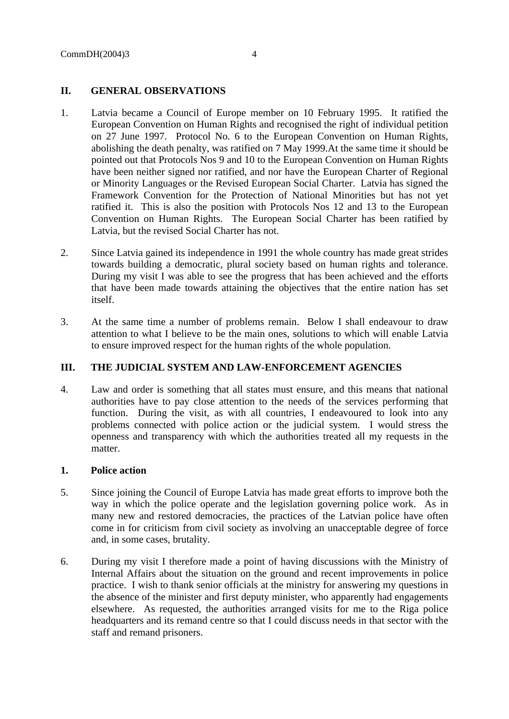# **II. GENERAL OBSERVATIONS**

- 1. Latvia became a Council of Europe member on 10 February 1995. It ratified the European Convention on Human Rights and recognised the right of individual petition on 27 June 1997. Protocol No. 6 to the European Convention on Human Rights, abolishing the death penalty, was ratified on 7 May 1999.At the same time it should be pointed out that Protocols Nos 9 and 10 to the European Convention on Human Rights have been neither signed nor ratified, and nor have the European Charter of Regional or Minority Languages or the Revised European Social Charter. Latvia has signed the Framework Convention for the Protection of National Minorities but has not yet ratified it. This is also the position with Protocols Nos 12 and 13 to the European Convention on Human Rights. The European Social Charter has been ratified by Latvia, but the revised Social Charter has not.
- 2. Since Latvia gained its independence in 1991 the whole country has made great strides towards building a democratic, plural society based on human rights and tolerance. During my visit I was able to see the progress that has been achieved and the efforts that have been made towards attaining the objectives that the entire nation has set itself.
- 3. At the same time a number of problems remain. Below I shall endeavour to draw attention to what I believe to be the main ones, solutions to which will enable Latvia to ensure improved respect for the human rights of the whole population.

# **III. THE JUDICIAL SYSTEM AND LAW-ENFORCEMENT AGENCIES**

4. Law and order is something that all states must ensure, and this means that national authorities have to pay close attention to the needs of the services performing that function. During the visit, as with all countries, I endeavoured to look into any problems connected with police action or the judicial system. I would stress the openness and transparency with which the authorities treated all my requests in the matter.

#### **1. Police action**

- 5. Since joining the Council of Europe Latvia has made great efforts to improve both the way in which the police operate and the legislation governing police work. As in many new and restored democracies, the practices of the Latvian police have often come in for criticism from civil society as involving an unacceptable degree of force and, in some cases, brutality.
- 6. During my visit I therefore made a point of having discussions with the Ministry of Internal Affairs about the situation on the ground and recent improvements in police practice. I wish to thank senior officials at the ministry for answering my questions in the absence of the minister and first deputy minister, who apparently had engagements elsewhere. As requested, the authorities arranged visits for me to the Riga police headquarters and its remand centre so that I could discuss needs in that sector with the staff and remand prisoners.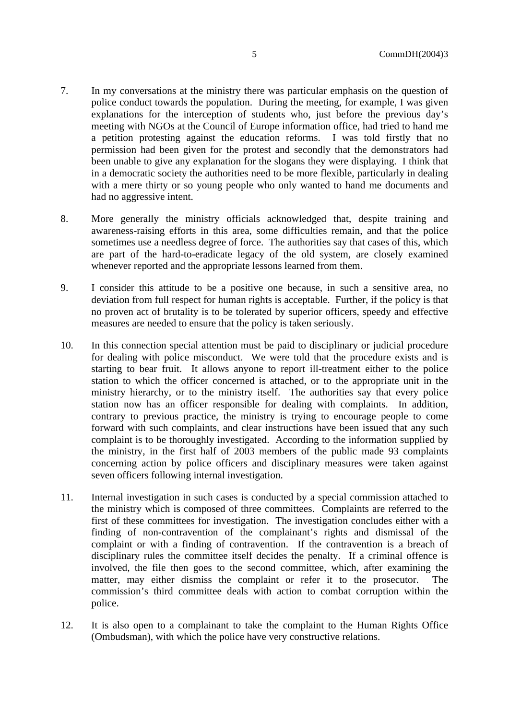- 7. In my conversations at the ministry there was particular emphasis on the question of police conduct towards the population. During the meeting, for example, I was given explanations for the interception of students who, just before the previous day's meeting with NGOs at the Council of Europe information office, had tried to hand me a petition protesting against the education reforms. I was told firstly that no permission had been given for the protest and secondly that the demonstrators had been unable to give any explanation for the slogans they were displaying. I think that in a democratic society the authorities need to be more flexible, particularly in dealing with a mere thirty or so young people who only wanted to hand me documents and had no aggressive intent.
- 8. More generally the ministry officials acknowledged that, despite training and awareness-raising efforts in this area, some difficulties remain, and that the police sometimes use a needless degree of force. The authorities say that cases of this, which are part of the hard-to-eradicate legacy of the old system, are closely examined whenever reported and the appropriate lessons learned from them.
- 9. I consider this attitude to be a positive one because, in such a sensitive area, no deviation from full respect for human rights is acceptable. Further, if the policy is that no proven act of brutality is to be tolerated by superior officers, speedy and effective measures are needed to ensure that the policy is taken seriously.
- 10. In this connection special attention must be paid to disciplinary or judicial procedure for dealing with police misconduct. We were told that the procedure exists and is starting to bear fruit. It allows anyone to report ill-treatment either to the police station to which the officer concerned is attached, or to the appropriate unit in the ministry hierarchy, or to the ministry itself. The authorities say that every police station now has an officer responsible for dealing with complaints. In addition, contrary to previous practice, the ministry is trying to encourage people to come forward with such complaints, and clear instructions have been issued that any such complaint is to be thoroughly investigated. According to the information supplied by the ministry, in the first half of 2003 members of the public made 93 complaints concerning action by police officers and disciplinary measures were taken against seven officers following internal investigation.
- 11. Internal investigation in such cases is conducted by a special commission attached to the ministry which is composed of three committees. Complaints are referred to the first of these committees for investigation. The investigation concludes either with a finding of non-contravention of the complainant's rights and dismissal of the complaint or with a finding of contravention. If the contravention is a breach of disciplinary rules the committee itself decides the penalty. If a criminal offence is involved, the file then goes to the second committee, which, after examining the matter, may either dismiss the complaint or refer it to the prosecutor. The commission's third committee deals with action to combat corruption within the police.
- 12. It is also open to a complainant to take the complaint to the Human Rights Office (Ombudsman), with which the police have very constructive relations.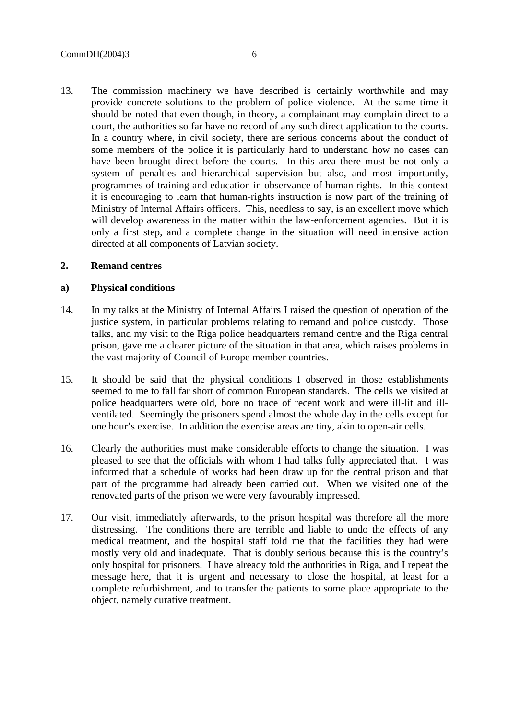13. The commission machinery we have described is certainly worthwhile and may provide concrete solutions to the problem of police violence. At the same time it should be noted that even though, in theory, a complainant may complain direct to a court, the authorities so far have no record of any such direct application to the courts. In a country where, in civil society, there are serious concerns about the conduct of some members of the police it is particularly hard to understand how no cases can have been brought direct before the courts. In this area there must be not only a system of penalties and hierarchical supervision but also, and most importantly, programmes of training and education in observance of human rights. In this context it is encouraging to learn that human-rights instruction is now part of the training of Ministry of Internal Affairs officers. This, needless to say, is an excellent move which will develop awareness in the matter within the law-enforcement agencies. But it is only a first step, and a complete change in the situation will need intensive action directed at all components of Latvian society.

#### **2. Remand centres**

### **a) Physical conditions**

- 14. In my talks at the Ministry of Internal Affairs I raised the question of operation of the justice system, in particular problems relating to remand and police custody. Those talks, and my visit to the Riga police headquarters remand centre and the Riga central prison, gave me a clearer picture of the situation in that area, which raises problems in the vast majority of Council of Europe member countries.
- 15. It should be said that the physical conditions I observed in those establishments seemed to me to fall far short of common European standards. The cells we visited at police headquarters were old, bore no trace of recent work and were ill-lit and illventilated. Seemingly the prisoners spend almost the whole day in the cells except for one hour's exercise. In addition the exercise areas are tiny, akin to open-air cells.
- 16. Clearly the authorities must make considerable efforts to change the situation. I was pleased to see that the officials with whom I had talks fully appreciated that. I was informed that a schedule of works had been draw up for the central prison and that part of the programme had already been carried out. When we visited one of the renovated parts of the prison we were very favourably impressed.
- 17. Our visit, immediately afterwards, to the prison hospital was therefore all the more distressing. The conditions there are terrible and liable to undo the effects of any medical treatment, and the hospital staff told me that the facilities they had were mostly very old and inadequate. That is doubly serious because this is the country's only hospital for prisoners. I have already told the authorities in Riga, and I repeat the message here, that it is urgent and necessary to close the hospital, at least for a complete refurbishment, and to transfer the patients to some place appropriate to the object, namely curative treatment.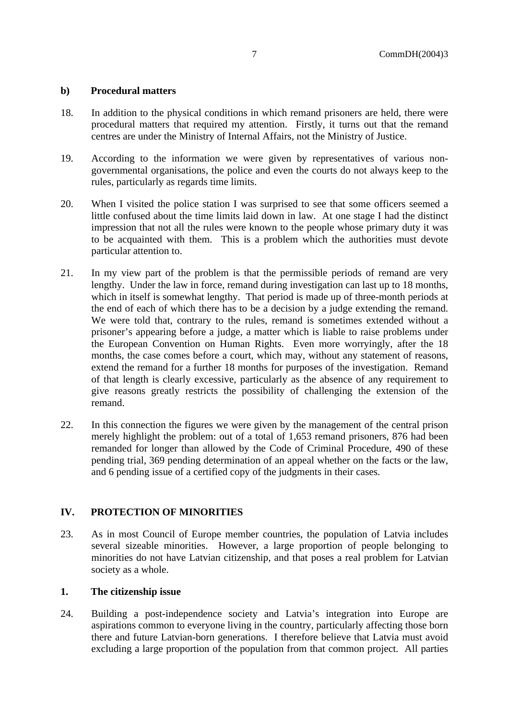### **b) Procedural matters**

- 18. In addition to the physical conditions in which remand prisoners are held, there were procedural matters that required my attention. Firstly, it turns out that the remand centres are under the Ministry of Internal Affairs, not the Ministry of Justice.
- 19. According to the information we were given by representatives of various nongovernmental organisations, the police and even the courts do not always keep to the rules, particularly as regards time limits.
- 20. When I visited the police station I was surprised to see that some officers seemed a little confused about the time limits laid down in law. At one stage I had the distinct impression that not all the rules were known to the people whose primary duty it was to be acquainted with them. This is a problem which the authorities must devote particular attention to.
- 21. In my view part of the problem is that the permissible periods of remand are very lengthy. Under the law in force, remand during investigation can last up to 18 months, which in itself is somewhat lengthy. That period is made up of three-month periods at the end of each of which there has to be a decision by a judge extending the remand. We were told that, contrary to the rules, remand is sometimes extended without a prisoner's appearing before a judge, a matter which is liable to raise problems under the European Convention on Human Rights. Even more worryingly, after the 18 months, the case comes before a court, which may, without any statement of reasons, extend the remand for a further 18 months for purposes of the investigation. Remand of that length is clearly excessive, particularly as the absence of any requirement to give reasons greatly restricts the possibility of challenging the extension of the remand.
- 22. In this connection the figures we were given by the management of the central prison merely highlight the problem: out of a total of 1,653 remand prisoners, 876 had been remanded for longer than allowed by the Code of Criminal Procedure, 490 of these pending trial, 369 pending determination of an appeal whether on the facts or the law, and 6 pending issue of a certified copy of the judgments in their cases.

# **IV. PROTECTION OF MINORITIES**

23. As in most Council of Europe member countries, the population of Latvia includes several sizeable minorities. However, a large proportion of people belonging to minorities do not have Latvian citizenship, and that poses a real problem for Latvian society as a whole.

# **1. The citizenship issue**

24. Building a post-independence society and Latvia's integration into Europe are aspirations common to everyone living in the country, particularly affecting those born there and future Latvian-born generations. I therefore believe that Latvia must avoid excluding a large proportion of the population from that common project. All parties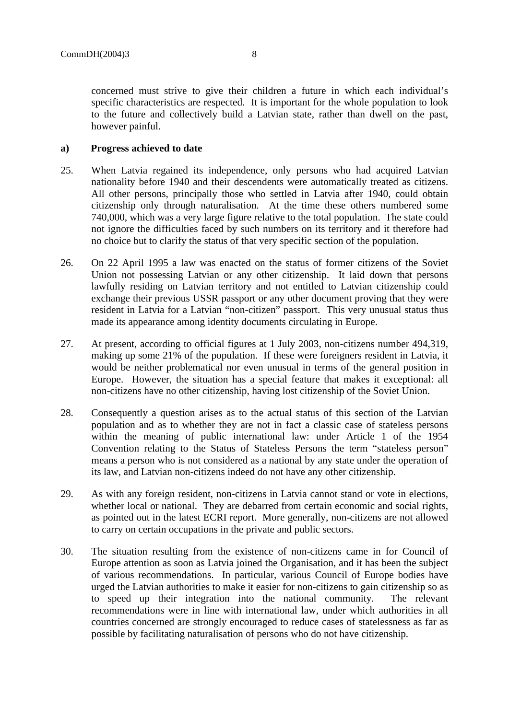concerned must strive to give their children a future in which each individual's specific characteristics are respected. It is important for the whole population to look to the future and collectively build a Latvian state, rather than dwell on the past, however painful.

# **a) Progress achieved to date**

- 25. When Latvia regained its independence, only persons who had acquired Latvian nationality before 1940 and their descendents were automatically treated as citizens. All other persons, principally those who settled in Latvia after 1940, could obtain citizenship only through naturalisation. At the time these others numbered some 740,000, which was a very large figure relative to the total population. The state could not ignore the difficulties faced by such numbers on its territory and it therefore had no choice but to clarify the status of that very specific section of the population.
- 26. On 22 April 1995 a law was enacted on the status of former citizens of the Soviet Union not possessing Latvian or any other citizenship. It laid down that persons lawfully residing on Latvian territory and not entitled to Latvian citizenship could exchange their previous USSR passport or any other document proving that they were resident in Latvia for a Latvian "non-citizen" passport. This very unusual status thus made its appearance among identity documents circulating in Europe.
- 27. At present, according to official figures at 1 July 2003, non-citizens number 494,319, making up some 21% of the population. If these were foreigners resident in Latvia, it would be neither problematical nor even unusual in terms of the general position in Europe. However, the situation has a special feature that makes it exceptional: all non-citizens have no other citizenship, having lost citizenship of the Soviet Union.
- 28. Consequently a question arises as to the actual status of this section of the Latvian population and as to whether they are not in fact a classic case of stateless persons within the meaning of public international law: under Article 1 of the 1954 Convention relating to the Status of Stateless Persons the term "stateless person" means a person who is not considered as a national by any state under the operation of its law, and Latvian non-citizens indeed do not have any other citizenship.
- 29. As with any foreign resident, non-citizens in Latvia cannot stand or vote in elections, whether local or national. They are debarred from certain economic and social rights, as pointed out in the latest ECRI report. More generally, non-citizens are not allowed to carry on certain occupations in the private and public sectors.
- 30. The situation resulting from the existence of non-citizens came in for Council of Europe attention as soon as Latvia joined the Organisation, and it has been the subject of various recommendations. In particular, various Council of Europe bodies have urged the Latvian authorities to make it easier for non-citizens to gain citizenship so as to speed up their integration into the national community. The relevant recommendations were in line with international law, under which authorities in all countries concerned are strongly encouraged to reduce cases of statelessness as far as possible by facilitating naturalisation of persons who do not have citizenship.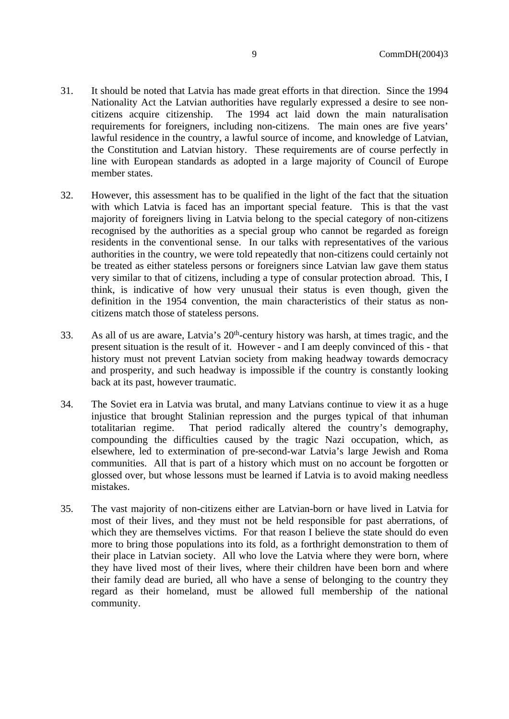- 31. It should be noted that Latvia has made great efforts in that direction. Since the 1994 Nationality Act the Latvian authorities have regularly expressed a desire to see noncitizens acquire citizenship. The 1994 act laid down the main naturalisation requirements for foreigners, including non-citizens. The main ones are five years' lawful residence in the country, a lawful source of income, and knowledge of Latvian, the Constitution and Latvian history. These requirements are of course perfectly in line with European standards as adopted in a large majority of Council of Europe member states.
- 32. However, this assessment has to be qualified in the light of the fact that the situation with which Latvia is faced has an important special feature. This is that the vast majority of foreigners living in Latvia belong to the special category of non-citizens recognised by the authorities as a special group who cannot be regarded as foreign residents in the conventional sense. In our talks with representatives of the various authorities in the country, we were told repeatedly that non-citizens could certainly not be treated as either stateless persons or foreigners since Latvian law gave them status very similar to that of citizens, including a type of consular protection abroad. This, I think, is indicative of how very unusual their status is even though, given the definition in the 1954 convention, the main characteristics of their status as noncitizens match those of stateless persons.
- 33. As all of us are aware, Latvia's 20th-century history was harsh, at times tragic, and the present situation is the result of it. However - and I am deeply convinced of this - that history must not prevent Latvian society from making headway towards democracy and prosperity, and such headway is impossible if the country is constantly looking back at its past, however traumatic.
- 34. The Soviet era in Latvia was brutal, and many Latvians continue to view it as a huge injustice that brought Stalinian repression and the purges typical of that inhuman totalitarian regime. That period radically altered the country's demography, compounding the difficulties caused by the tragic Nazi occupation, which, as elsewhere, led to extermination of pre-second-war Latvia's large Jewish and Roma communities. All that is part of a history which must on no account be forgotten or glossed over, but whose lessons must be learned if Latvia is to avoid making needless mistakes.
- 35. The vast majority of non-citizens either are Latvian-born or have lived in Latvia for most of their lives, and they must not be held responsible for past aberrations, of which they are themselves victims. For that reason I believe the state should do even more to bring those populations into its fold, as a forthright demonstration to them of their place in Latvian society. All who love the Latvia where they were born, where they have lived most of their lives, where their children have been born and where their family dead are buried, all who have a sense of belonging to the country they regard as their homeland, must be allowed full membership of the national community.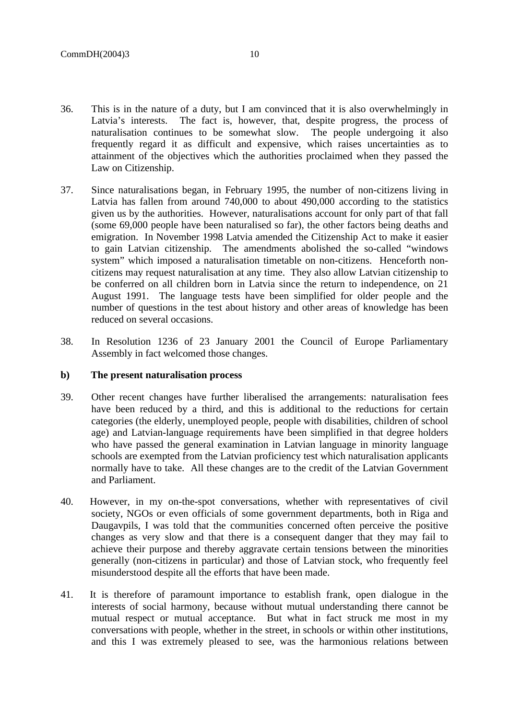- 36. This is in the nature of a duty, but I am convinced that it is also overwhelmingly in Latvia's interests. The fact is, however, that, despite progress, the process of naturalisation continues to be somewhat slow. The people undergoing it also frequently regard it as difficult and expensive, which raises uncertainties as to attainment of the objectives which the authorities proclaimed when they passed the Law on Citizenship.
- 37. Since naturalisations began, in February 1995, the number of non-citizens living in Latvia has fallen from around 740,000 to about 490,000 according to the statistics given us by the authorities. However, naturalisations account for only part of that fall (some 69,000 people have been naturalised so far), the other factors being deaths and emigration. In November 1998 Latvia amended the Citizenship Act to make it easier to gain Latvian citizenship. The amendments abolished the so-called "windows system" which imposed a naturalisation timetable on non-citizens. Henceforth noncitizens may request naturalisation at any time. They also allow Latvian citizenship to be conferred on all children born in Latvia since the return to independence, on 21 August 1991. The language tests have been simplified for older people and the number of questions in the test about history and other areas of knowledge has been reduced on several occasions.
- 38. In Resolution 1236 of 23 January 2001 the Council of Europe Parliamentary Assembly in fact welcomed those changes.

#### **b) The present naturalisation process**

- 39. Other recent changes have further liberalised the arrangements: naturalisation fees have been reduced by a third, and this is additional to the reductions for certain categories (the elderly, unemployed people, people with disabilities, children of school age) and Latvian-language requirements have been simplified in that degree holders who have passed the general examination in Latvian language in minority language schools are exempted from the Latvian proficiency test which naturalisation applicants normally have to take. All these changes are to the credit of the Latvian Government and Parliament.
- 40. However, in my on-the-spot conversations, whether with representatives of civil society, NGOs or even officials of some government departments, both in Riga and Daugavpils, I was told that the communities concerned often perceive the positive changes as very slow and that there is a consequent danger that they may fail to achieve their purpose and thereby aggravate certain tensions between the minorities generally (non-citizens in particular) and those of Latvian stock, who frequently feel misunderstood despite all the efforts that have been made.
- 41. It is therefore of paramount importance to establish frank, open dialogue in the interests of social harmony, because without mutual understanding there cannot be mutual respect or mutual acceptance. But what in fact struck me most in my conversations with people, whether in the street, in schools or within other institutions, and this I was extremely pleased to see, was the harmonious relations between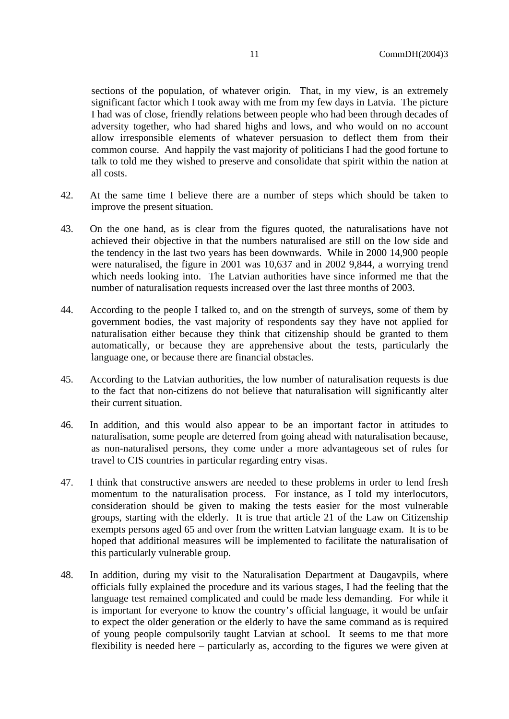sections of the population, of whatever origin. That, in my view, is an extremely significant factor which I took away with me from my few days in Latvia. The picture I had was of close, friendly relations between people who had been through decades of adversity together, who had shared highs and lows, and who would on no account allow irresponsible elements of whatever persuasion to deflect them from their common course. And happily the vast majority of politicians I had the good fortune to talk to told me they wished to preserve and consolidate that spirit within the nation at all costs.

- 42. At the same time I believe there are a number of steps which should be taken to improve the present situation.
- 43. On the one hand, as is clear from the figures quoted, the naturalisations have not achieved their objective in that the numbers naturalised are still on the low side and the tendency in the last two years has been downwards. While in 2000 14,900 people were naturalised, the figure in 2001 was 10,637 and in 2002 9,844, a worrying trend which needs looking into. The Latvian authorities have since informed me that the number of naturalisation requests increased over the last three months of 2003.
- 44. According to the people I talked to, and on the strength of surveys, some of them by government bodies, the vast majority of respondents say they have not applied for naturalisation either because they think that citizenship should be granted to them automatically, or because they are apprehensive about the tests, particularly the language one, or because there are financial obstacles.
- 45. According to the Latvian authorities, the low number of naturalisation requests is due to the fact that non-citizens do not believe that naturalisation will significantly alter their current situation.
- 46. In addition, and this would also appear to be an important factor in attitudes to naturalisation, some people are deterred from going ahead with naturalisation because, as non-naturalised persons, they come under a more advantageous set of rules for travel to CIS countries in particular regarding entry visas.
- 47. I think that constructive answers are needed to these problems in order to lend fresh momentum to the naturalisation process. For instance, as I told my interlocutors, consideration should be given to making the tests easier for the most vulnerable groups, starting with the elderly. It is true that article 21 of the Law on Citizenship exempts persons aged 65 and over from the written Latvian language exam. It is to be hoped that additional measures will be implemented to facilitate the naturalisation of this particularly vulnerable group.
- 48. In addition, during my visit to the Naturalisation Department at Daugavpils, where officials fully explained the procedure and its various stages, I had the feeling that the language test remained complicated and could be made less demanding. For while it is important for everyone to know the country's official language, it would be unfair to expect the older generation or the elderly to have the same command as is required of young people compulsorily taught Latvian at school. It seems to me that more flexibility is needed here – particularly as, according to the figures we were given at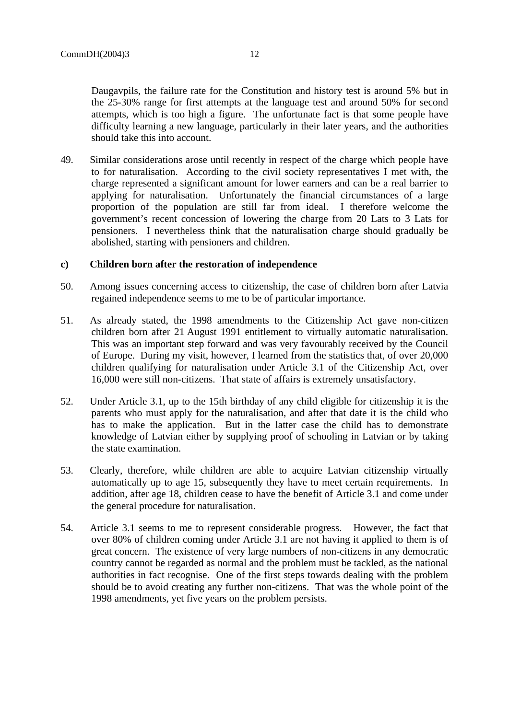Daugavpils, the failure rate for the Constitution and history test is around 5% but in the 25-30% range for first attempts at the language test and around 50% for second attempts, which is too high a figure. The unfortunate fact is that some people have difficulty learning a new language, particularly in their later years, and the authorities should take this into account.

49. Similar considerations arose until recently in respect of the charge which people have to for naturalisation. According to the civil society representatives I met with, the charge represented a significant amount for lower earners and can be a real barrier to applying for naturalisation. Unfortunately the financial circumstances of a large proportion of the population are still far from ideal. I therefore welcome the government's recent concession of lowering the charge from 20 Lats to 3 Lats for pensioners. I nevertheless think that the naturalisation charge should gradually be abolished, starting with pensioners and children.

# **c) Children born after the restoration of independence**

- 50. Among issues concerning access to citizenship, the case of children born after Latvia regained independence seems to me to be of particular importance.
- 51. As already stated, the 1998 amendments to the Citizenship Act gave non-citizen children born after 21 August 1991 entitlement to virtually automatic naturalisation. This was an important step forward and was very favourably received by the Council of Europe. During my visit, however, I learned from the statistics that, of over 20,000 children qualifying for naturalisation under Article 3.1 of the Citizenship Act, over 16,000 were still non-citizens. That state of affairs is extremely unsatisfactory.
- 52. Under Article 3.1, up to the 15th birthday of any child eligible for citizenship it is the parents who must apply for the naturalisation, and after that date it is the child who has to make the application. But in the latter case the child has to demonstrate knowledge of Latvian either by supplying proof of schooling in Latvian or by taking the state examination.
- 53. Clearly, therefore, while children are able to acquire Latvian citizenship virtually automatically up to age 15, subsequently they have to meet certain requirements. In addition, after age 18, children cease to have the benefit of Article 3.1 and come under the general procedure for naturalisation.
- 54. Article 3.1 seems to me to represent considerable progress. However, the fact that over 80% of children coming under Article 3.1 are not having it applied to them is of great concern. The existence of very large numbers of non-citizens in any democratic country cannot be regarded as normal and the problem must be tackled, as the national authorities in fact recognise. One of the first steps towards dealing with the problem should be to avoid creating any further non-citizens. That was the whole point of the 1998 amendments, yet five years on the problem persists.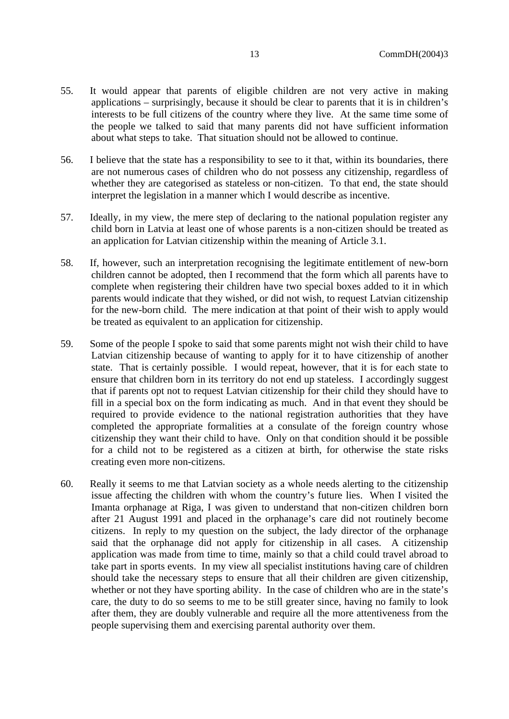- 55. It would appear that parents of eligible children are not very active in making applications – surprisingly, because it should be clear to parents that it is in children's interests to be full citizens of the country where they live. At the same time some of the people we talked to said that many parents did not have sufficient information about what steps to take. That situation should not be allowed to continue.
- 56. I believe that the state has a responsibility to see to it that, within its boundaries, there are not numerous cases of children who do not possess any citizenship, regardless of whether they are categorised as stateless or non-citizen. To that end, the state should interpret the legislation in a manner which I would describe as incentive.
- 57. Ideally, in my view, the mere step of declaring to the national population register any child born in Latvia at least one of whose parents is a non-citizen should be treated as an application for Latvian citizenship within the meaning of Article 3.1.
- 58. If, however, such an interpretation recognising the legitimate entitlement of new-born children cannot be adopted, then I recommend that the form which all parents have to complete when registering their children have two special boxes added to it in which parents would indicate that they wished, or did not wish, to request Latvian citizenship for the new-born child. The mere indication at that point of their wish to apply would be treated as equivalent to an application for citizenship.
- 59. Some of the people I spoke to said that some parents might not wish their child to have Latvian citizenship because of wanting to apply for it to have citizenship of another state. That is certainly possible. I would repeat, however, that it is for each state to ensure that children born in its territory do not end up stateless. I accordingly suggest that if parents opt not to request Latvian citizenship for their child they should have to fill in a special box on the form indicating as much. And in that event they should be required to provide evidence to the national registration authorities that they have completed the appropriate formalities at a consulate of the foreign country whose citizenship they want their child to have. Only on that condition should it be possible for a child not to be registered as a citizen at birth, for otherwise the state risks creating even more non-citizens.
- 60. Really it seems to me that Latvian society as a whole needs alerting to the citizenship issue affecting the children with whom the country's future lies. When I visited the Imanta orphanage at Riga, I was given to understand that non-citizen children born after 21 August 1991 and placed in the orphanage's care did not routinely become citizens. In reply to my question on the subject, the lady director of the orphanage said that the orphanage did not apply for citizenship in all cases. A citizenship application was made from time to time, mainly so that a child could travel abroad to take part in sports events. In my view all specialist institutions having care of children should take the necessary steps to ensure that all their children are given citizenship, whether or not they have sporting ability. In the case of children who are in the state's care, the duty to do so seems to me to be still greater since, having no family to look after them, they are doubly vulnerable and require all the more attentiveness from the people supervising them and exercising parental authority over them.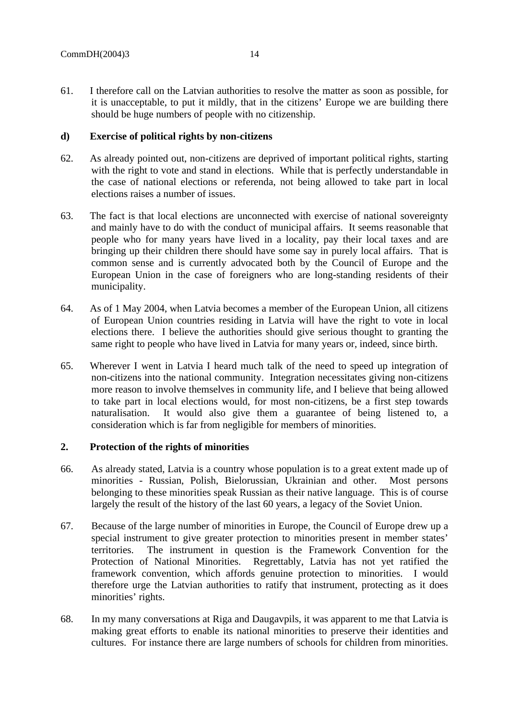61. I therefore call on the Latvian authorities to resolve the matter as soon as possible, for it is unacceptable, to put it mildly, that in the citizens' Europe we are building there should be huge numbers of people with no citizenship.

### **d) Exercise of political rights by non-citizens**

- 62. As already pointed out, non-citizens are deprived of important political rights, starting with the right to vote and stand in elections. While that is perfectly understandable in the case of national elections or referenda, not being allowed to take part in local elections raises a number of issues.
- 63. The fact is that local elections are unconnected with exercise of national sovereignty and mainly have to do with the conduct of municipal affairs. It seems reasonable that people who for many years have lived in a locality, pay their local taxes and are bringing up their children there should have some say in purely local affairs. That is common sense and is currently advocated both by the Council of Europe and the European Union in the case of foreigners who are long-standing residents of their municipality.
- 64. As of 1 May 2004, when Latvia becomes a member of the European Union, all citizens of European Union countries residing in Latvia will have the right to vote in local elections there. I believe the authorities should give serious thought to granting the same right to people who have lived in Latvia for many years or, indeed, since birth.
- 65. Wherever I went in Latvia I heard much talk of the need to speed up integration of non-citizens into the national community. Integration necessitates giving non-citizens more reason to involve themselves in community life, and I believe that being allowed to take part in local elections would, for most non-citizens, be a first step towards naturalisation. It would also give them a guarantee of being listened to, a consideration which is far from negligible for members of minorities.

# **2. Protection of the rights of minorities**

- 66. As already stated, Latvia is a country whose population is to a great extent made up of minorities - Russian, Polish, Bielorussian, Ukrainian and other. Most persons belonging to these minorities speak Russian as their native language. This is of course largely the result of the history of the last 60 years, a legacy of the Soviet Union.
- 67. Because of the large number of minorities in Europe, the Council of Europe drew up a special instrument to give greater protection to minorities present in member states' territories. The instrument in question is the Framework Convention for the Protection of National Minorities. Regrettably, Latvia has not yet ratified the framework convention, which affords genuine protection to minorities. I would therefore urge the Latvian authorities to ratify that instrument, protecting as it does minorities' rights.
- 68. In my many conversations at Riga and Daugavpils, it was apparent to me that Latvia is making great efforts to enable its national minorities to preserve their identities and cultures. For instance there are large numbers of schools for children from minorities.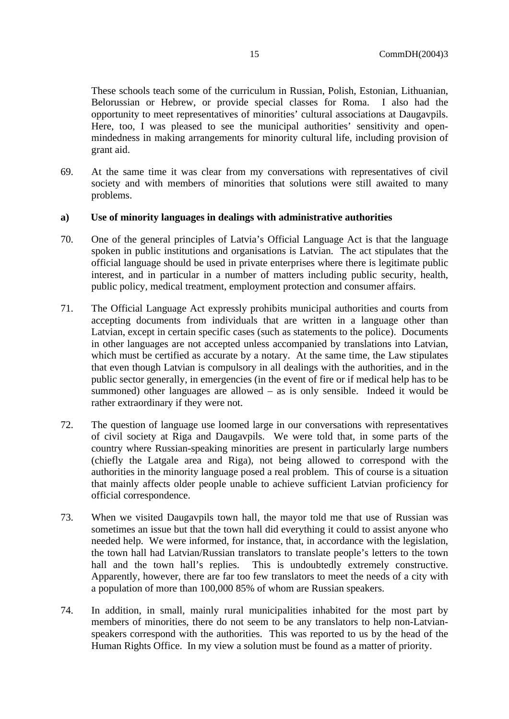These schools teach some of the curriculum in Russian, Polish, Estonian, Lithuanian, Belorussian or Hebrew, or provide special classes for Roma. I also had the opportunity to meet representatives of minorities' cultural associations at Daugavpils. Here, too, I was pleased to see the municipal authorities' sensitivity and openmindedness in making arrangements for minority cultural life, including provision of grant aid.

69. At the same time it was clear from my conversations with representatives of civil society and with members of minorities that solutions were still awaited to many problems.

### **a) Use of minority languages in dealings with administrative authorities**

- 70. One of the general principles of Latvia's Official Language Act is that the language spoken in public institutions and organisations is Latvian. The act stipulates that the official language should be used in private enterprises where there is legitimate public interest, and in particular in a number of matters including public security, health, public policy, medical treatment, employment protection and consumer affairs.
- 71. The Official Language Act expressly prohibits municipal authorities and courts from accepting documents from individuals that are written in a language other than Latvian, except in certain specific cases (such as statements to the police). Documents in other languages are not accepted unless accompanied by translations into Latvian, which must be certified as accurate by a notary. At the same time, the Law stipulates that even though Latvian is compulsory in all dealings with the authorities, and in the public sector generally, in emergencies (in the event of fire or if medical help has to be summoned) other languages are allowed – as is only sensible. Indeed it would be rather extraordinary if they were not.
- 72. The question of language use loomed large in our conversations with representatives of civil society at Riga and Daugavpils. We were told that, in some parts of the country where Russian-speaking minorities are present in particularly large numbers (chiefly the Latgale area and Riga), not being allowed to correspond with the authorities in the minority language posed a real problem. This of course is a situation that mainly affects older people unable to achieve sufficient Latvian proficiency for official correspondence.
- 73. When we visited Daugavpils town hall, the mayor told me that use of Russian was sometimes an issue but that the town hall did everything it could to assist anyone who needed help. We were informed, for instance, that, in accordance with the legislation, the town hall had Latvian/Russian translators to translate people's letters to the town hall and the town hall's replies. This is undoubtedly extremely constructive. Apparently, however, there are far too few translators to meet the needs of a city with a population of more than 100,000 85% of whom are Russian speakers.
- 74. In addition, in small, mainly rural municipalities inhabited for the most part by members of minorities, there do not seem to be any translators to help non-Latvianspeakers correspond with the authorities. This was reported to us by the head of the Human Rights Office. In my view a solution must be found as a matter of priority.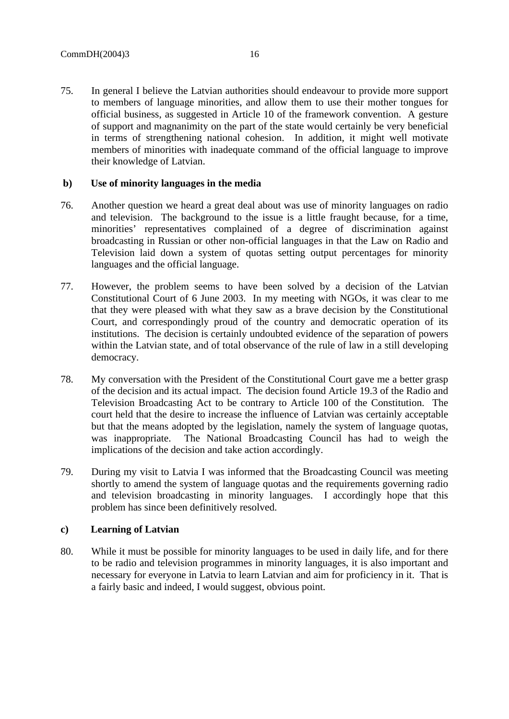75. In general I believe the Latvian authorities should endeavour to provide more support to members of language minorities, and allow them to use their mother tongues for official business, as suggested in Article 10 of the framework convention. A gesture of support and magnanimity on the part of the state would certainly be very beneficial in terms of strengthening national cohesion. In addition, it might well motivate members of minorities with inadequate command of the official language to improve their knowledge of Latvian.

#### **b) Use of minority languages in the media**

- 76. Another question we heard a great deal about was use of minority languages on radio and television. The background to the issue is a little fraught because, for a time, minorities' representatives complained of a degree of discrimination against broadcasting in Russian or other non-official languages in that the Law on Radio and Television laid down a system of quotas setting output percentages for minority languages and the official language.
- 77. However, the problem seems to have been solved by a decision of the Latvian Constitutional Court of 6 June 2003. In my meeting with NGOs, it was clear to me that they were pleased with what they saw as a brave decision by the Constitutional Court, and correspondingly proud of the country and democratic operation of its institutions. The decision is certainly undoubted evidence of the separation of powers within the Latvian state, and of total observance of the rule of law in a still developing democracy.
- 78. My conversation with the President of the Constitutional Court gave me a better grasp of the decision and its actual impact. The decision found Article 19.3 of the Radio and Television Broadcasting Act to be contrary to Article 100 of the Constitution. The court held that the desire to increase the influence of Latvian was certainly acceptable but that the means adopted by the legislation, namely the system of language quotas, was inappropriate. The National Broadcasting Council has had to weigh the implications of the decision and take action accordingly.
- 79. During my visit to Latvia I was informed that the Broadcasting Council was meeting shortly to amend the system of language quotas and the requirements governing radio and television broadcasting in minority languages. I accordingly hope that this problem has since been definitively resolved.

# **c) Learning of Latvian**

80. While it must be possible for minority languages to be used in daily life, and for there to be radio and television programmes in minority languages, it is also important and necessary for everyone in Latvia to learn Latvian and aim for proficiency in it. That is a fairly basic and indeed, I would suggest, obvious point.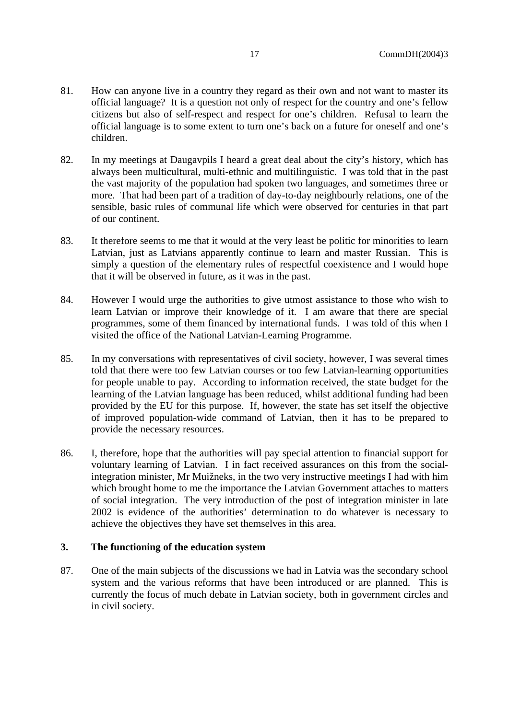- 81. How can anyone live in a country they regard as their own and not want to master its official language? It is a question not only of respect for the country and one's fellow citizens but also of self-respect and respect for one's children. Refusal to learn the official language is to some extent to turn one's back on a future for oneself and one's children.
- 82. In my meetings at Daugavpils I heard a great deal about the city's history, which has always been multicultural, multi-ethnic and multilinguistic. I was told that in the past the vast majority of the population had spoken two languages, and sometimes three or more. That had been part of a tradition of day-to-day neighbourly relations, one of the sensible, basic rules of communal life which were observed for centuries in that part of our continent.
- 83. It therefore seems to me that it would at the very least be politic for minorities to learn Latvian, just as Latvians apparently continue to learn and master Russian. This is simply a question of the elementary rules of respectful coexistence and I would hope that it will be observed in future, as it was in the past.
- 84. However I would urge the authorities to give utmost assistance to those who wish to learn Latvian or improve their knowledge of it. I am aware that there are special programmes, some of them financed by international funds. I was told of this when I visited the office of the National Latvian-Learning Programme.
- 85. In my conversations with representatives of civil society, however, I was several times told that there were too few Latvian courses or too few Latvian-learning opportunities for people unable to pay. According to information received, the state budget for the learning of the Latvian language has been reduced, whilst additional funding had been provided by the EU for this purpose. If, however, the state has set itself the objective of improved population-wide command of Latvian, then it has to be prepared to provide the necessary resources.
- 86. I, therefore, hope that the authorities will pay special attention to financial support for voluntary learning of Latvian. I in fact received assurances on this from the socialintegration minister, Mr Muižneks, in the two very instructive meetings I had with him which brought home to me the importance the Latvian Government attaches to matters of social integration. The very introduction of the post of integration minister in late 2002 is evidence of the authorities' determination to do whatever is necessary to achieve the objectives they have set themselves in this area.

# **3. The functioning of the education system**

87. One of the main subjects of the discussions we had in Latvia was the secondary school system and the various reforms that have been introduced or are planned. This is currently the focus of much debate in Latvian society, both in government circles and in civil society.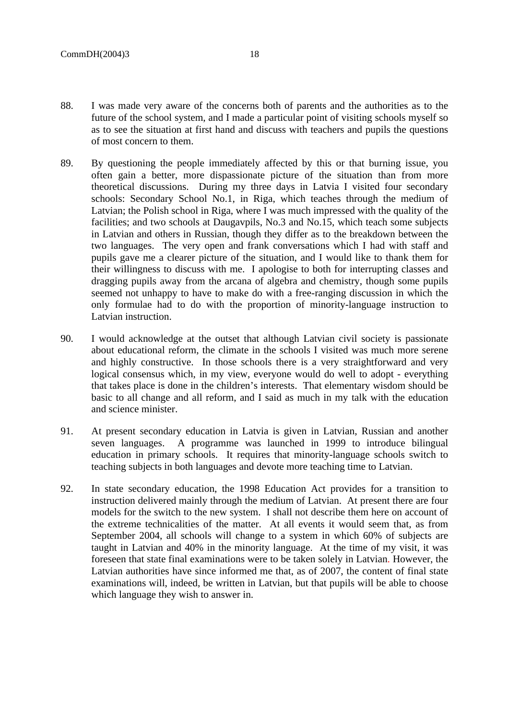- 88. I was made very aware of the concerns both of parents and the authorities as to the future of the school system, and I made a particular point of visiting schools myself so as to see the situation at first hand and discuss with teachers and pupils the questions of most concern to them.
- 89. By questioning the people immediately affected by this or that burning issue, you often gain a better, more dispassionate picture of the situation than from more theoretical discussions. During my three days in Latvia I visited four secondary schools: Secondary School No.1, in Riga, which teaches through the medium of Latvian; the Polish school in Riga, where I was much impressed with the quality of the facilities; and two schools at Daugavpils, No.3 and No.15, which teach some subjects in Latvian and others in Russian, though they differ as to the breakdown between the two languages. The very open and frank conversations which I had with staff and pupils gave me a clearer picture of the situation, and I would like to thank them for their willingness to discuss with me. I apologise to both for interrupting classes and dragging pupils away from the arcana of algebra and chemistry, though some pupils seemed not unhappy to have to make do with a free-ranging discussion in which the only formulae had to do with the proportion of minority-language instruction to Latvian instruction.
- 90. I would acknowledge at the outset that although Latvian civil society is passionate about educational reform, the climate in the schools I visited was much more serene and highly constructive. In those schools there is a very straightforward and very logical consensus which, in my view, everyone would do well to adopt - everything that takes place is done in the children's interests. That elementary wisdom should be basic to all change and all reform, and I said as much in my talk with the education and science minister.
- 91. At present secondary education in Latvia is given in Latvian, Russian and another seven languages. A programme was launched in 1999 to introduce bilingual education in primary schools. It requires that minority-language schools switch to teaching subjects in both languages and devote more teaching time to Latvian.
- 92. In state secondary education, the 1998 Education Act provides for a transition to instruction delivered mainly through the medium of Latvian. At present there are four models for the switch to the new system. I shall not describe them here on account of the extreme technicalities of the matter. At all events it would seem that, as from September 2004, all schools will change to a system in which 60% of subjects are taught in Latvian and 40% in the minority language. At the time of my visit, it was foreseen that state final examinations were to be taken solely in Latvian. However, the Latvian authorities have since informed me that, as of 2007, the content of final state examinations will, indeed, be written in Latvian, but that pupils will be able to choose which language they wish to answer in.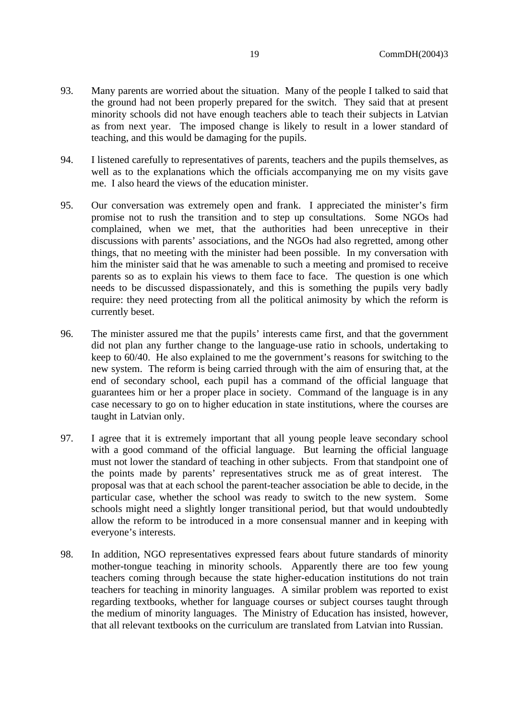- 93. Many parents are worried about the situation. Many of the people I talked to said that the ground had not been properly prepared for the switch. They said that at present minority schools did not have enough teachers able to teach their subjects in Latvian as from next year. The imposed change is likely to result in a lower standard of teaching, and this would be damaging for the pupils.
- 94. I listened carefully to representatives of parents, teachers and the pupils themselves, as well as to the explanations which the officials accompanying me on my visits gave me. I also heard the views of the education minister.
- 95. Our conversation was extremely open and frank. I appreciated the minister's firm promise not to rush the transition and to step up consultations. Some NGOs had complained, when we met, that the authorities had been unreceptive in their discussions with parents' associations, and the NGOs had also regretted, among other things, that no meeting with the minister had been possible. In my conversation with him the minister said that he was amenable to such a meeting and promised to receive parents so as to explain his views to them face to face. The question is one which needs to be discussed dispassionately, and this is something the pupils very badly require: they need protecting from all the political animosity by which the reform is currently beset.
- 96. The minister assured me that the pupils' interests came first, and that the government did not plan any further change to the language-use ratio in schools, undertaking to keep to 60/40. He also explained to me the government's reasons for switching to the new system. The reform is being carried through with the aim of ensuring that, at the end of secondary school, each pupil has a command of the official language that guarantees him or her a proper place in society. Command of the language is in any case necessary to go on to higher education in state institutions, where the courses are taught in Latvian only.
- 97. I agree that it is extremely important that all young people leave secondary school with a good command of the official language. But learning the official language must not lower the standard of teaching in other subjects. From that standpoint one of the points made by parents' representatives struck me as of great interest. The proposal was that at each school the parent-teacher association be able to decide, in the particular case, whether the school was ready to switch to the new system. Some schools might need a slightly longer transitional period, but that would undoubtedly allow the reform to be introduced in a more consensual manner and in keeping with everyone's interests.
- 98. In addition, NGO representatives expressed fears about future standards of minority mother-tongue teaching in minority schools. Apparently there are too few young teachers coming through because the state higher-education institutions do not train teachers for teaching in minority languages. A similar problem was reported to exist regarding textbooks, whether for language courses or subject courses taught through the medium of minority languages. The Ministry of Education has insisted, however, that all relevant textbooks on the curriculum are translated from Latvian into Russian.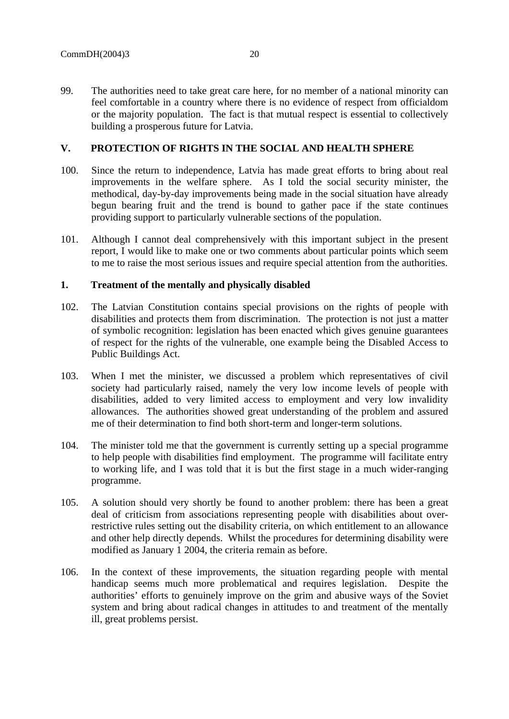99. The authorities need to take great care here, for no member of a national minority can feel comfortable in a country where there is no evidence of respect from officialdom or the majority population. The fact is that mutual respect is essential to collectively building a prosperous future for Latvia.

# **V. PROTECTION OF RIGHTS IN THE SOCIAL AND HEALTH SPHERE**

- 100. Since the return to independence, Latvia has made great efforts to bring about real improvements in the welfare sphere. As I told the social security minister, the methodical, day-by-day improvements being made in the social situation have already begun bearing fruit and the trend is bound to gather pace if the state continues providing support to particularly vulnerable sections of the population.
- 101. Although I cannot deal comprehensively with this important subject in the present report, I would like to make one or two comments about particular points which seem to me to raise the most serious issues and require special attention from the authorities.

### **1. Treatment of the mentally and physically disabled**

- 102. The Latvian Constitution contains special provisions on the rights of people with disabilities and protects them from discrimination. The protection is not just a matter of symbolic recognition: legislation has been enacted which gives genuine guarantees of respect for the rights of the vulnerable, one example being the Disabled Access to Public Buildings Act.
- 103. When I met the minister, we discussed a problem which representatives of civil society had particularly raised, namely the very low income levels of people with disabilities, added to very limited access to employment and very low invalidity allowances. The authorities showed great understanding of the problem and assured me of their determination to find both short-term and longer-term solutions.
- 104. The minister told me that the government is currently setting up a special programme to help people with disabilities find employment. The programme will facilitate entry to working life, and I was told that it is but the first stage in a much wider-ranging programme.
- 105. A solution should very shortly be found to another problem: there has been a great deal of criticism from associations representing people with disabilities about overrestrictive rules setting out the disability criteria, on which entitlement to an allowance and other help directly depends. Whilst the procedures for determining disability were modified as January 1 2004, the criteria remain as before.
- 106. In the context of these improvements, the situation regarding people with mental handicap seems much more problematical and requires legislation. Despite the authorities' efforts to genuinely improve on the grim and abusive ways of the Soviet system and bring about radical changes in attitudes to and treatment of the mentally ill, great problems persist.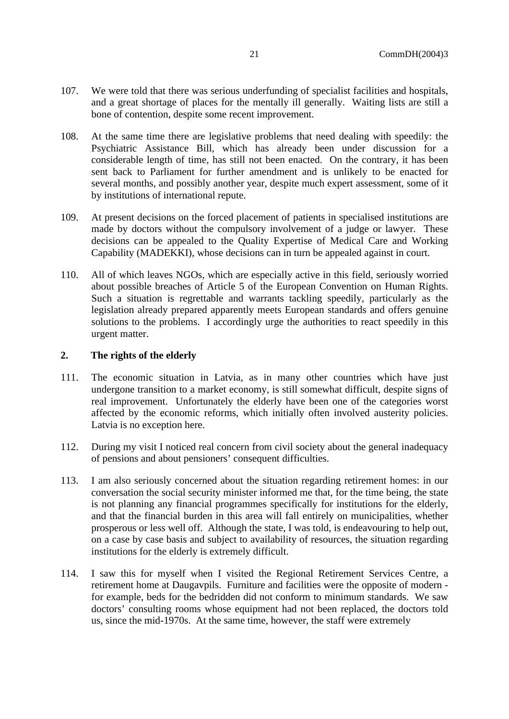- 107. We were told that there was serious underfunding of specialist facilities and hospitals, and a great shortage of places for the mentally ill generally. Waiting lists are still a bone of contention, despite some recent improvement.
- 108. At the same time there are legislative problems that need dealing with speedily: the Psychiatric Assistance Bill, which has already been under discussion for a considerable length of time, has still not been enacted. On the contrary, it has been sent back to Parliament for further amendment and is unlikely to be enacted for several months, and possibly another year, despite much expert assessment, some of it by institutions of international repute.
- 109. At present decisions on the forced placement of patients in specialised institutions are made by doctors without the compulsory involvement of a judge or lawyer. These decisions can be appealed to the Quality Expertise of Medical Care and Working Capability (MADEKKI), whose decisions can in turn be appealed against in court.
- 110. All of which leaves NGOs, which are especially active in this field, seriously worried about possible breaches of Article 5 of the European Convention on Human Rights. Such a situation is regrettable and warrants tackling speedily, particularly as the legislation already prepared apparently meets European standards and offers genuine solutions to the problems. I accordingly urge the authorities to react speedily in this urgent matter.

# **2. The rights of the elderly**

- 111. The economic situation in Latvia, as in many other countries which have just undergone transition to a market economy, is still somewhat difficult, despite signs of real improvement. Unfortunately the elderly have been one of the categories worst affected by the economic reforms, which initially often involved austerity policies. Latvia is no exception here.
- 112. During my visit I noticed real concern from civil society about the general inadequacy of pensions and about pensioners' consequent difficulties.
- 113. I am also seriously concerned about the situation regarding retirement homes: in our conversation the social security minister informed me that, for the time being, the state is not planning any financial programmes specifically for institutions for the elderly, and that the financial burden in this area will fall entirely on municipalities, whether prosperous or less well off. Although the state, I was told, is endeavouring to help out, on a case by case basis and subject to availability of resources, the situation regarding institutions for the elderly is extremely difficult.
- 114. I saw this for myself when I visited the Regional Retirement Services Centre, a retirement home at Daugavpils. Furniture and facilities were the opposite of modern for example, beds for the bedridden did not conform to minimum standards. We saw doctors' consulting rooms whose equipment had not been replaced, the doctors told us, since the mid-1970s. At the same time, however, the staff were extremely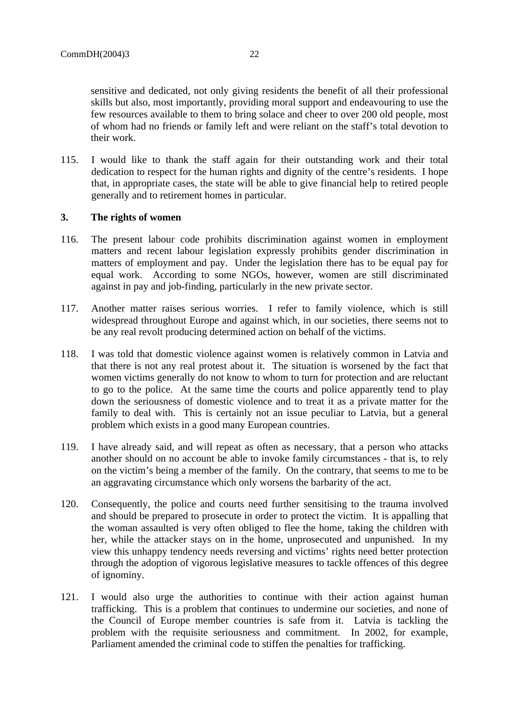sensitive and dedicated, not only giving residents the benefit of all their professional skills but also, most importantly, providing moral support and endeavouring to use the few resources available to them to bring solace and cheer to over 200 old people, most of whom had no friends or family left and were reliant on the staff's total devotion to their work.

115. I would like to thank the staff again for their outstanding work and their total dedication to respect for the human rights and dignity of the centre's residents. I hope that, in appropriate cases, the state will be able to give financial help to retired people generally and to retirement homes in particular.

### **3. The rights of women**

- 116. The present labour code prohibits discrimination against women in employment matters and recent labour legislation expressly prohibits gender discrimination in matters of employment and pay. Under the legislation there has to be equal pay for equal work. According to some NGOs, however, women are still discriminated against in pay and job-finding, particularly in the new private sector.
- 117. Another matter raises serious worries. I refer to family violence, which is still widespread throughout Europe and against which, in our societies, there seems not to be any real revolt producing determined action on behalf of the victims.
- 118. I was told that domestic violence against women is relatively common in Latvia and that there is not any real protest about it. The situation is worsened by the fact that women victims generally do not know to whom to turn for protection and are reluctant to go to the police. At the same time the courts and police apparently tend to play down the seriousness of domestic violence and to treat it as a private matter for the family to deal with. This is certainly not an issue peculiar to Latvia, but a general problem which exists in a good many European countries.
- 119. I have already said, and will repeat as often as necessary, that a person who attacks another should on no account be able to invoke family circumstances - that is, to rely on the victim's being a member of the family. On the contrary, that seems to me to be an aggravating circumstance which only worsens the barbarity of the act.
- 120. Consequently, the police and courts need further sensitising to the trauma involved and should be prepared to prosecute in order to protect the victim. It is appalling that the woman assaulted is very often obliged to flee the home, taking the children with her, while the attacker stays on in the home, unprosecuted and unpunished. In my view this unhappy tendency needs reversing and victims' rights need better protection through the adoption of vigorous legislative measures to tackle offences of this degree of ignominy.
- 121. I would also urge the authorities to continue with their action against human trafficking. This is a problem that continues to undermine our societies, and none of the Council of Europe member countries is safe from it. Latvia is tackling the problem with the requisite seriousness and commitment. In 2002, for example, Parliament amended the criminal code to stiffen the penalties for trafficking.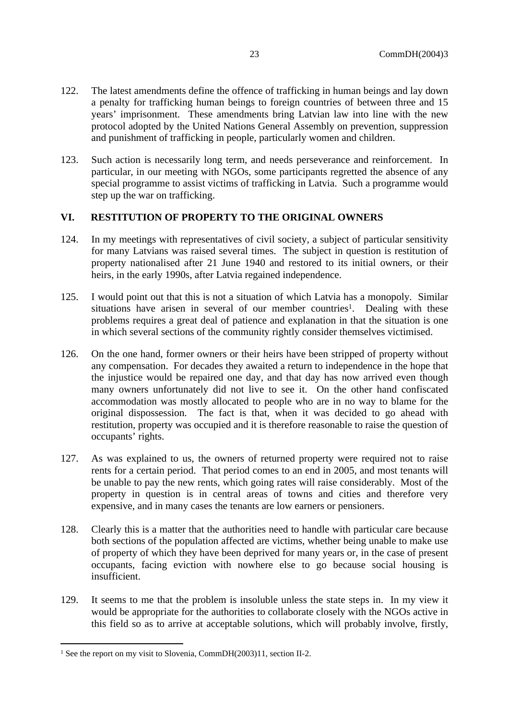- 122. The latest amendments define the offence of trafficking in human beings and lay down a penalty for trafficking human beings to foreign countries of between three and 15 years' imprisonment. These amendments bring Latvian law into line with the new protocol adopted by the United Nations General Assembly on prevention, suppression and punishment of trafficking in people, particularly women and children.
- 123. Such action is necessarily long term, and needs perseverance and reinforcement. In particular, in our meeting with NGOs, some participants regretted the absence of any special programme to assist victims of trafficking in Latvia. Such a programme would step up the war on trafficking.

# **VI. RESTITUTION OF PROPERTY TO THE ORIGINAL OWNERS**

- 124. In my meetings with representatives of civil society, a subject of particular sensitivity for many Latvians was raised several times. The subject in question is restitution of property nationalised after 21 June 1940 and restored to its initial owners, or their heirs, in the early 1990s, after Latvia regained independence.
- 125. I would point out that this is not a situation of which Latvia has a monopoly. Similar situations have arisen in several of our member countries<sup>1</sup>. Dealing with these problems requires a great deal of patience and explanation in that the situation is one in which several sections of the community rightly consider themselves victimised.
- 126. On the one hand, former owners or their heirs have been stripped of property without any compensation. For decades they awaited a return to independence in the hope that the injustice would be repaired one day, and that day has now arrived even though many owners unfortunately did not live to see it. On the other hand confiscated accommodation was mostly allocated to people who are in no way to blame for the original dispossession. The fact is that, when it was decided to go ahead with restitution, property was occupied and it is therefore reasonable to raise the question of occupants' rights.
- 127. As was explained to us, the owners of returned property were required not to raise rents for a certain period. That period comes to an end in 2005, and most tenants will be unable to pay the new rents, which going rates will raise considerably. Most of the property in question is in central areas of towns and cities and therefore very expensive, and in many cases the tenants are low earners or pensioners.
- 128. Clearly this is a matter that the authorities need to handle with particular care because both sections of the population affected are victims, whether being unable to make use of property of which they have been deprived for many years or, in the case of present occupants, facing eviction with nowhere else to go because social housing is insufficient.
- 129. It seems to me that the problem is insoluble unless the state steps in. In my view it would be appropriate for the authorities to collaborate closely with the NGOs active in this field so as to arrive at acceptable solutions, which will probably involve, firstly,

<sup>&</sup>lt;sup>1</sup> See the report on my visit to Slovenia, CommDH(2003)11, section II-2.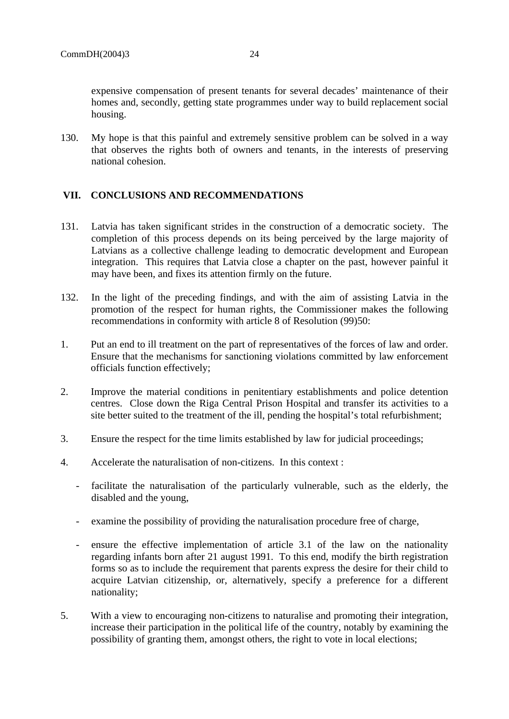expensive compensation of present tenants for several decades' maintenance of their homes and, secondly, getting state programmes under way to build replacement social housing.

130. My hope is that this painful and extremely sensitive problem can be solved in a way that observes the rights both of owners and tenants, in the interests of preserving national cohesion.

# **VII. CONCLUSIONS AND RECOMMENDATIONS**

- 131. Latvia has taken significant strides in the construction of a democratic society. The completion of this process depends on its being perceived by the large majority of Latvians as a collective challenge leading to democratic development and European integration. This requires that Latvia close a chapter on the past, however painful it may have been, and fixes its attention firmly on the future.
- 132. In the light of the preceding findings, and with the aim of assisting Latvia in the promotion of the respect for human rights, the Commissioner makes the following recommendations in conformity with article 8 of Resolution (99)50:
- 1. Put an end to ill treatment on the part of representatives of the forces of law and order. Ensure that the mechanisms for sanctioning violations committed by law enforcement officials function effectively;
- 2. Improve the material conditions in penitentiary establishments and police detention centres. Close down the Riga Central Prison Hospital and transfer its activities to a site better suited to the treatment of the ill, pending the hospital's total refurbishment;
- 3. Ensure the respect for the time limits established by law for judicial proceedings;
- 4. Accelerate the naturalisation of non-citizens. In this context :
	- facilitate the naturalisation of the particularly vulnerable, such as the elderly, the disabled and the young,
	- examine the possibility of providing the naturalisation procedure free of charge,
	- ensure the effective implementation of article 3.1 of the law on the nationality regarding infants born after 21 august 1991. To this end, modify the birth registration forms so as to include the requirement that parents express the desire for their child to acquire Latvian citizenship, or, alternatively, specify a preference for a different nationality;
- 5. With a view to encouraging non-citizens to naturalise and promoting their integration, increase their participation in the political life of the country, notably by examining the possibility of granting them, amongst others, the right to vote in local elections;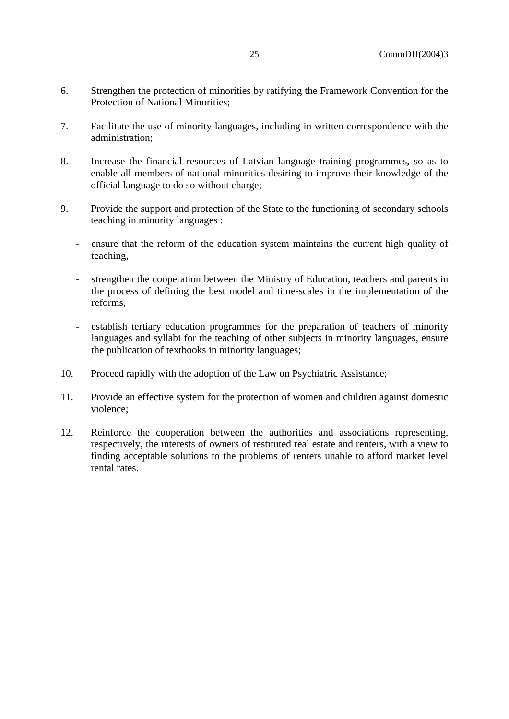- 6. Strengthen the protection of minorities by ratifying the Framework Convention for the Protection of National Minorities;
- 7. Facilitate the use of minority languages, including in written correspondence with the administration;
- 8. Increase the financial resources of Latvian language training programmes, so as to enable all members of national minorities desiring to improve their knowledge of the official language to do so without charge;
- 9. Provide the support and protection of the State to the functioning of secondary schools teaching in minority languages :
	- ensure that the reform of the education system maintains the current high quality of teaching,
	- strengthen the cooperation between the Ministry of Education, teachers and parents in the process of defining the best model and time-scales in the implementation of the reforms,
	- establish tertiary education programmes for the preparation of teachers of minority languages and syllabi for the teaching of other subjects in minority languages, ensure the publication of textbooks in minority languages;
- 10. Proceed rapidly with the adoption of the Law on Psychiatric Assistance;
- 11. Provide an effective system for the protection of women and children against domestic violence;
- 12. Reinforce the cooperation between the authorities and associations representing, respectively, the interests of owners of restituted real estate and renters, with a view to finding acceptable solutions to the problems of renters unable to afford market level rental rates.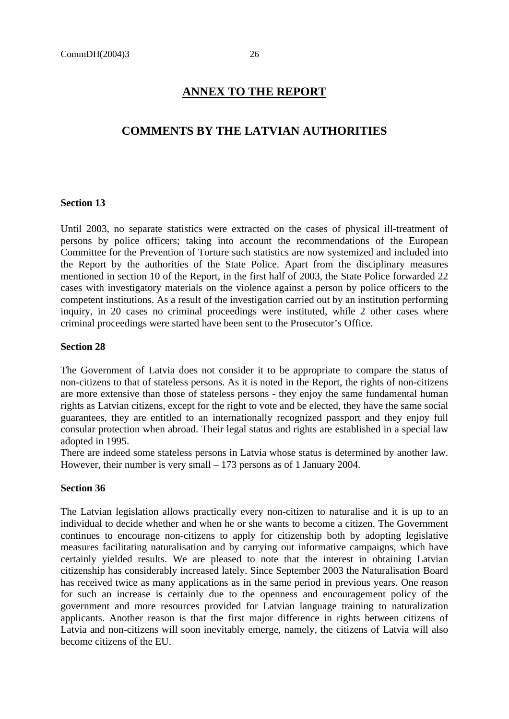# **ANNEX TO THE REPORT**

# **COMMENTS BY THE LATVIAN AUTHORITIES**

#### **Section 13**

Until 2003, no separate statistics were extracted on the cases of physical ill-treatment of persons by police officers; taking into account the recommendations of the European Committee for the Prevention of Torture such statistics are now systemized and included into the Report by the authorities of the State Police. Apart from the disciplinary measures mentioned in section 10 of the Report, in the first half of 2003, the State Police forwarded 22 cases with investigatory materials on the violence against a person by police officers to the competent institutions. As a result of the investigation carried out by an institution performing inquiry, in 20 cases no criminal proceedings were instituted, while 2 other cases where criminal proceedings were started have been sent to the Prosecutor's Office.

#### **Section 28**

The Government of Latvia does not consider it to be appropriate to compare the status of non-citizens to that of stateless persons. As it is noted in the Report, the rights of non-citizens are more extensive than those of stateless persons - they enjoy the same fundamental human rights as Latvian citizens, except for the right to vote and be elected, they have the same social guarantees, they are entitled to an internationally recognized passport and they enjoy full consular protection when abroad. Their legal status and rights are established in a special law adopted in 1995.

There are indeed some stateless persons in Latvia whose status is determined by another law. However, their number is very small – 173 persons as of 1 January 2004.

#### **Section 36**

The Latvian legislation allows practically every non-citizen to naturalise and it is up to an individual to decide whether and when he or she wants to become a citizen. The Government continues to encourage non-citizens to apply for citizenship both by adopting legislative measures facilitating naturalisation and by carrying out informative campaigns, which have certainly yielded results. We are pleased to note that the interest in obtaining Latvian citizenship has considerably increased lately. Since September 2003 the Naturalisation Board has received twice as many applications as in the same period in previous years. One reason for such an increase is certainly due to the openness and encouragement policy of the government and more resources provided for Latvian language training to naturalization applicants. Another reason is that the first major difference in rights between citizens of Latvia and non-citizens will soon inevitably emerge, namely, the citizens of Latvia will also become citizens of the EU.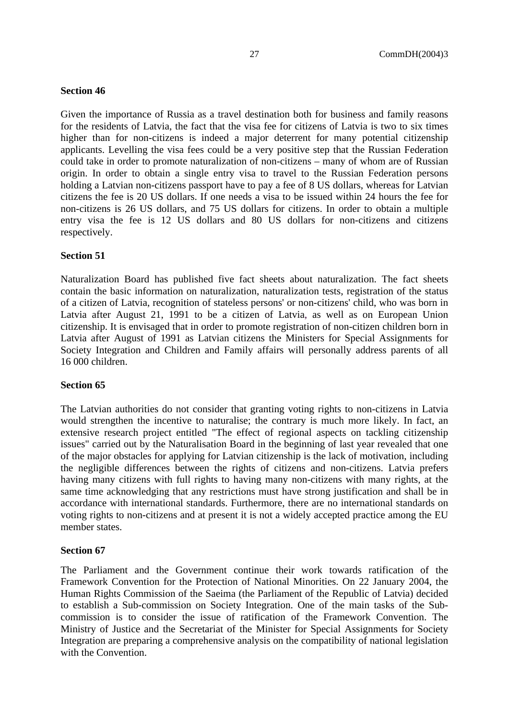# **Section 46**

Given the importance of Russia as a travel destination both for business and family reasons for the residents of Latvia, the fact that the visa fee for citizens of Latvia is two to six times higher than for non-citizens is indeed a major deterrent for many potential citizenship applicants. Levelling the visa fees could be a very positive step that the Russian Federation could take in order to promote naturalization of non-citizens – many of whom are of Russian origin. In order to obtain a single entry visa to travel to the Russian Federation persons holding a Latvian non-citizens passport have to pay a fee of 8 US dollars, whereas for Latvian citizens the fee is 20 US dollars. If one needs a visa to be issued within 24 hours the fee for non-citizens is 26 US dollars, and 75 US dollars for citizens. In order to obtain a multiple entry visa the fee is 12 US dollars and 80 US dollars for non-citizens and citizens respectively.

### **Section 51**

Naturalization Board has published five fact sheets about naturalization. The fact sheets contain the basic information on naturalization, naturalization tests, registration of the status of a citizen of Latvia, recognition of stateless persons' or non-citizens' child, who was born in Latvia after August 21, 1991 to be a citizen of Latvia, as well as on European Union citizenship. It is envisaged that in order to promote registration of non-citizen children born in Latvia after August of 1991 as Latvian citizens the Ministers for Special Assignments for Society Integration and Children and Family affairs will personally address parents of all 16 000 children.

#### **Section 65**

The Latvian authorities do not consider that granting voting rights to non-citizens in Latvia would strengthen the incentive to naturalise; the contrary is much more likely. In fact, an extensive research project entitled "The effect of regional aspects on tackling citizenship issues" carried out by the Naturalisation Board in the beginning of last year revealed that one of the major obstacles for applying for Latvian citizenship is the lack of motivation, including the negligible differences between the rights of citizens and non-citizens. Latvia prefers having many citizens with full rights to having many non-citizens with many rights, at the same time acknowledging that any restrictions must have strong justification and shall be in accordance with international standards. Furthermore, there are no international standards on voting rights to non-citizens and at present it is not a widely accepted practice among the EU member states.

### **Section 67**

The Parliament and the Government continue their work towards ratification of the Framework Convention for the Protection of National Minorities. On 22 January 2004, the Human Rights Commission of the Saeima (the Parliament of the Republic of Latvia) decided to establish a Sub-commission on Society Integration. One of the main tasks of the Subcommission is to consider the issue of ratification of the Framework Convention. The Ministry of Justice and the Secretariat of the Minister for Special Assignments for Society Integration are preparing a comprehensive analysis on the compatibility of national legislation with the Convention.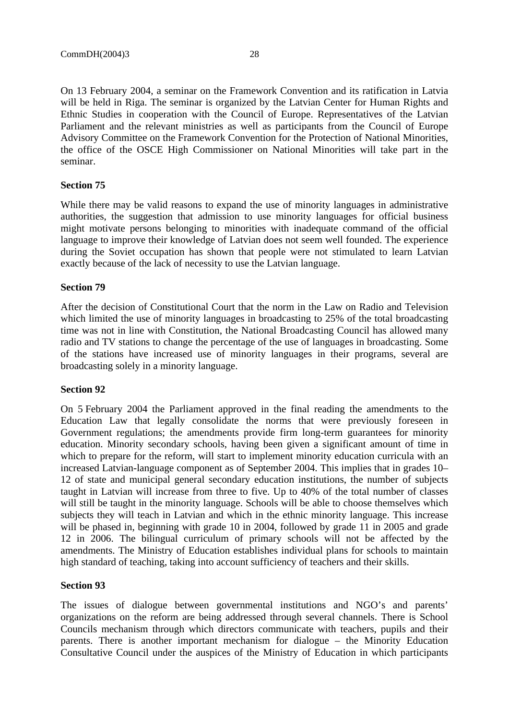On 13 February 2004, a seminar on the Framework Convention and its ratification in Latvia will be held in Riga. The seminar is organized by the Latvian Center for Human Rights and Ethnic Studies in cooperation with the Council of Europe. Representatives of the Latvian Parliament and the relevant ministries as well as participants from the Council of Europe Advisory Committee on the Framework Convention for the Protection of National Minorities, the office of the OSCE High Commissioner on National Minorities will take part in the seminar.

### **Section 75**

While there may be valid reasons to expand the use of minority languages in administrative authorities, the suggestion that admission to use minority languages for official business might motivate persons belonging to minorities with inadequate command of the official language to improve their knowledge of Latvian does not seem well founded. The experience during the Soviet occupation has shown that people were not stimulated to learn Latvian exactly because of the lack of necessity to use the Latvian language.

#### **Section 79**

After the decision of Constitutional Court that the norm in the Law on Radio and Television which limited the use of minority languages in broadcasting to 25% of the total broadcasting time was not in line with Constitution, the National Broadcasting Council has allowed many radio and TV stations to change the percentage of the use of languages in broadcasting. Some of the stations have increased use of minority languages in their programs, several are broadcasting solely in a minority language.

#### **Section 92**

On 5 February 2004 the Parliament approved in the final reading the amendments to the Education Law that legally consolidate the norms that were previously foreseen in Government regulations; the amendments provide firm long-term guarantees for minority education. Minority secondary schools, having been given a significant amount of time in which to prepare for the reform, will start to implement minority education curricula with an increased Latvian-language component as of September 2004. This implies that in grades 10– 12 of state and municipal general secondary education institutions, the number of subjects taught in Latvian will increase from three to five. Up to 40% of the total number of classes will still be taught in the minority language. Schools will be able to choose themselves which subjects they will teach in Latvian and which in the ethnic minority language. This increase will be phased in, beginning with grade 10 in 2004, followed by grade 11 in 2005 and grade 12 in 2006. The bilingual curriculum of primary schools will not be affected by the amendments. The Ministry of Education establishes individual plans for schools to maintain high standard of teaching, taking into account sufficiency of teachers and their skills.

#### **Section 93**

The issues of dialogue between governmental institutions and NGO's and parents' organizations on the reform are being addressed through several channels. There is School Councils mechanism through which directors communicate with teachers, pupils and their parents. There is another important mechanism for dialogue – the Minority Education Consultative Council under the auspices of the Ministry of Education in which participants